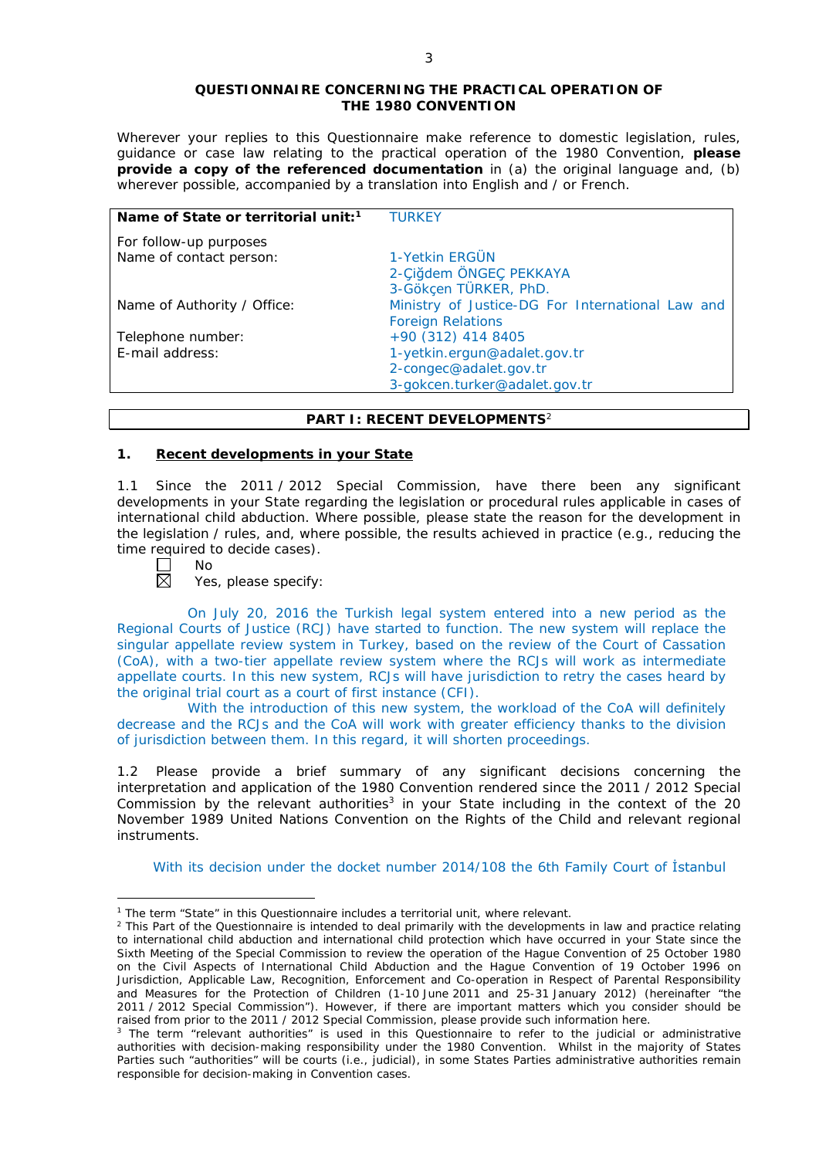#### **QUESTIONNAIRE CONCERNING THE PRACTICAL OPERATION OF THE 1980 CONVENTION**

*Wherever your replies to this Questionnaire make reference to domestic legislation, rules, guidance or case law relating to the practical operation of the 1980 Convention, please provide a copy of the referenced documentation in (a) the original language and, (b) wherever possible, accompanied by a translation into English and / or French.* 

| Name of State or territorial unit: <sup>1</sup> | <b>TURKEY</b>                                    |
|-------------------------------------------------|--------------------------------------------------|
| For follow-up purposes                          |                                                  |
| Name of contact person:                         | 1-Yetkin ERGÜN                                   |
|                                                 | 2-Çiğdem ÖNGEÇ PEKKAYA                           |
|                                                 | 3-Gökçen TÜRKER, PhD.                            |
| Name of Authority / Office:                     | Ministry of Justice-DG For International Law and |
|                                                 | <b>Foreign Relations</b>                         |
| Telephone number:                               | +90 (312) 414 8405                               |
| E-mail address:                                 | 1-yetkin.ergun@adalet.gov.tr                     |
|                                                 | 2-congec@adalet.gov.tr                           |
|                                                 | 3-gokcen.turker@adalet.gov.tr                    |

# **PART I: RECENT DEVELOPMENTS**<sup>2</sup>

# **1. Recent developments in your State**

1.1 Since the 2011 / 2012 Special Commission, have there been any significant developments in your State regarding the legislation or procedural rules applicable in cases of international child abduction. Where possible, please state the reason for the development in the legislation / rules, and, where possible, the results achieved in practice (*e.g.*, reducing the time required to decide cases).<br>  $\Box$  No<br>  $\boxtimes$  Yes. please specify:

No

<u>.</u>

Yes, please specify:

On July 20, 2016 the Turkish legal system entered into a new period as the Regional Courts of Justice (RCJ) have started to function. The new system will replace the singular appellate review system in Turkey, based on the review of the Court of Cassation (CoA), with a two-tier appellate review system where the RCJs will work as intermediate appellate courts. In this new system, RCJs will have jurisdiction to retry the cases heard by the original trial court as a court of first instance (CFI).

With the introduction of this new system, the workload of the CoA will definitely decrease and the RCJs and the CoA will work with greater efficiency thanks to the division of jurisdiction between them. In this regard, it will shorten proceedings.

1.2 Please provide a brief summary of any significant decisions concerning the interpretation and application of the 1980 Convention rendered since the 2011 / 2012 Special Commission by the relevant authorities<sup>3</sup> in your State including in the context of the 20 November 1989 United Nations Convention on the Rights of the Child and relevant regional instruments.

With its decision under the docket number 2014/108 the 6th Family Court of İstanbul

<sup>&</sup>lt;sup>1</sup> The term "State" in this Questionnaire includes a territorial unit, where relevant.

 $<sup>2</sup>$  This Part of the Questionnaire is intended to deal primarily with the developments in law and practice relating</sup> to international child abduction and international child protection which have occurred in your State since the Sixth Meeting of the Special Commission to review the operation of the *Hague Convention of 25 October 1980 on the Civil Aspects of International Child Abduction* and the *Hague Convention of 19 October 1996 on Jurisdiction, Applicable Law, Recognition, Enforcement and Co-operation in Respect of Parental Responsibility and Measures for the Protection of Children* (1-10 June 2011 and 25-31 January 2012) (hereinafter "the 2011 / 2012 Special Commission"). However, if there are important matters which you consider should be raised from *prior to* the 2011 / 2012 Special Commission, please provide such information here.

<sup>&</sup>lt;sup>3</sup> The term "relevant authorities" is used in this Questionnaire to refer to the judicial or administrative authorities with decision-making responsibility under the 1980 Convention. Whilst in the majority of States Parties such "authorities" will be courts (*i.e.*, judicial), in some States Parties administrative authorities remain responsible for decision-making in Convention cases.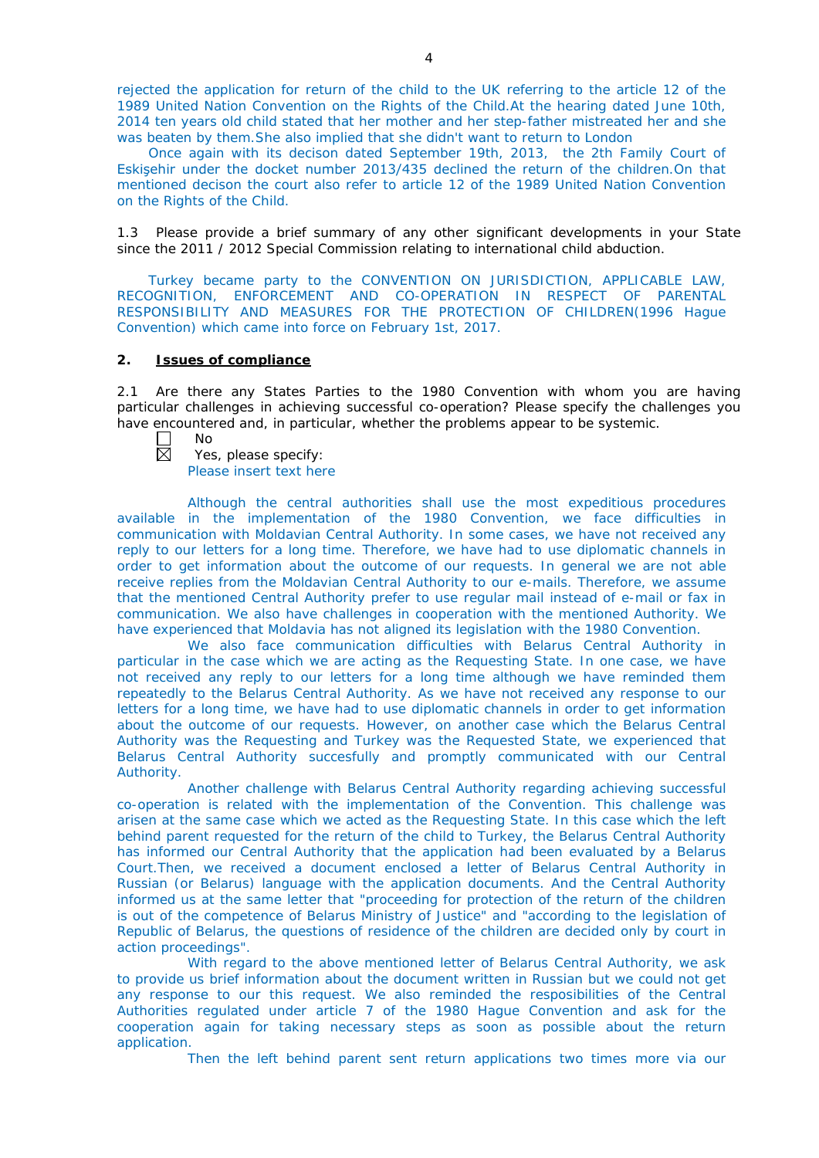rejected the application for return of the child to the UK referring to the article 12 of the 1989 United Nation Convention on the Rights of the Child.At the hearing dated June 10th, 2014 ten years old child stated that her mother and her step-father mistreated her and she was beaten by them.She also implied that she didn't want to return to London

Once again with its decison dated September 19th, 2013, the 2th Family Court of Eskişehir under the docket number 2013/435 declined the return of the children.On that mentioned decison the court also refer to article 12 of the 1989 United Nation Convention on the Rights of the Child.

1.3 Please provide a brief summary of any other significant developments in your State since the 2011 / 2012 Special Commission relating to international child abduction.

Turkey became party to the CONVENTION ON JURISDICTION, APPLICABLE LAW, RECOGNITION, ENFORCEMENT AND CO-OPERATION IN RESPECT OF PARENTAL RESPONSIBILITY AND MEASURES FOR THE PROTECTION OF CHILDREN(1996 Hague Convention) which came into force on February 1st, 2017.

### **2. Issues of compliance**

2.1 Are there any States Parties to the 1980 Convention with whom you are having particular challenges in achieving successful co-operation? Please specify the challenges you have encountered and, in particular, whether the problems appear to be systemic.

- $\Box$ No
- 岗 Yes, please specify: Please insert text here

Although the central authorities shall use the most expeditious procedures available in the implementation of the 1980 Convention, we face difficulties in communication with Moldavian Central Authority. In some cases, we have not received any reply to our letters for a long time. Therefore, we have had to use diplomatic channels in order to get information about the outcome of our requests. In general we are not able receive replies from the Moldavian Central Authority to our e-mails. Therefore, we assume that the mentioned Central Authority prefer to use regular mail instead of e-mail or fax in communication. We also have challenges in cooperation with the mentioned Authority. We have experienced that Moldavia has not aligned its legislation with the 1980 Convention.

We also face communication difficulties with Belarus Central Authority in particular in the case which we are acting as the Requesting State. In one case, we have not received any reply to our letters for a long time although we have reminded them repeatedly to the Belarus Central Authority. As we have not received any response to our letters for a long time, we have had to use diplomatic channels in order to get information about the outcome of our requests. However, on another case which the Belarus Central Authority was the Requesting and Turkey was the Requested State, we experienced that Belarus Central Authority succesfully and promptly communicated with our Central Authority.

Another challenge with Belarus Central Authority regarding achieving successful co-operation is related with the implementation of the Convention. This challenge was arisen at the same case which we acted as the Requesting State. In this case which the left behind parent requested for the return of the child to Turkey, the Belarus Central Authority has informed our Central Authority that the application had been evaluated by a Belarus Court.Then, we received a document enclosed a letter of Belarus Central Authority in Russian (or Belarus) language with the application documents. And the Central Authority informed us at the same letter that "proceeding for protection of the return of the children is out of the competence of Belarus Ministry of Justice" and "according to the legislation of Republic of Belarus, the questions of residence of the children are decided only by court in action proceedings".

With regard to the above mentioned letter of Belarus Central Authority, we ask to provide us brief information about the document written in Russian but we could not get any response to our this request. We also reminded the resposibilities of the Central Authorities regulated under article 7 of the 1980 Hague Convention and ask for the cooperation again for taking necessary steps as soon as possible about the return application.

Then the left behind parent sent return applications two times more via our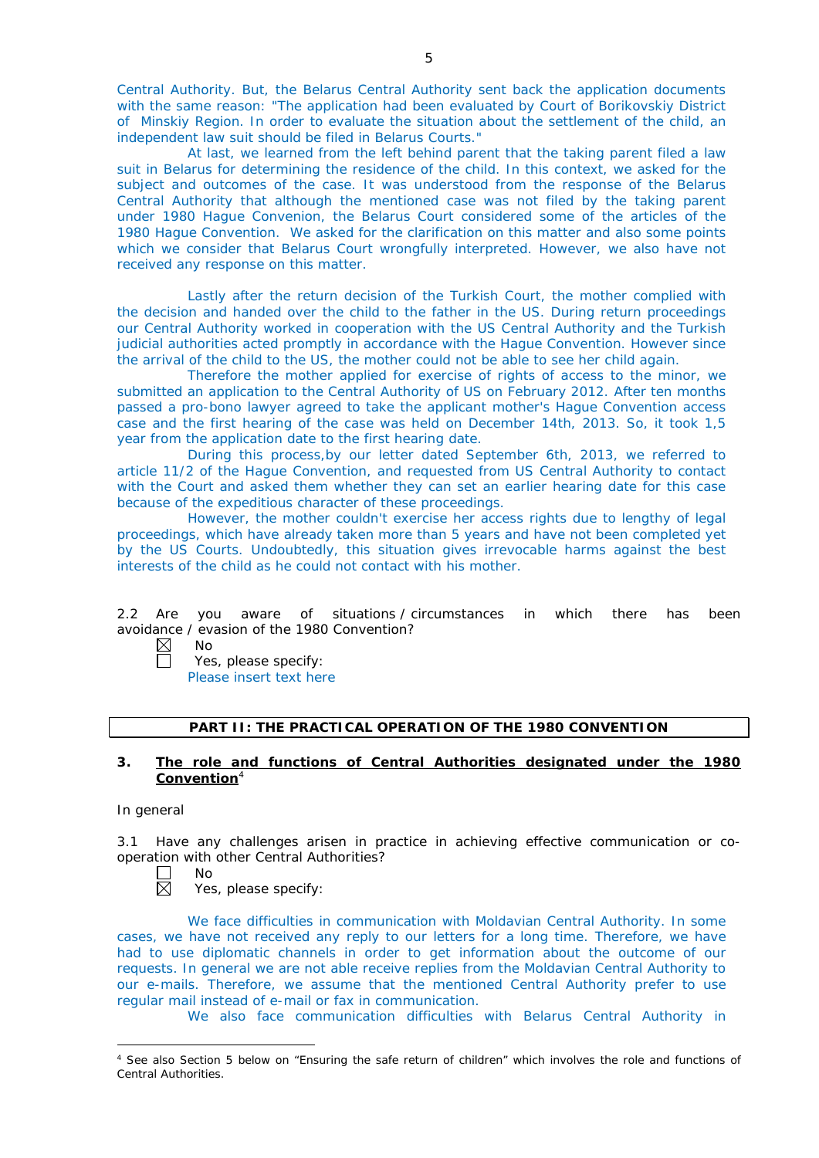Central Authority. But, the Belarus Central Authority sent back the application documents with the same reason: "The application had been evaluated by Court of Borikovskiy District of Minskiy Region. In order to evaluate the situation about the settlement of the child, an independent law suit should be filed in Belarus Courts."

At last, we learned from the left behind parent that the taking parent filed a law suit in Belarus for determining the residence of the child. In this context, we asked for the subject and outcomes of the case. It was understood from the response of the Belarus Central Authority that although the mentioned case was not filed by the taking parent under 1980 Hague Convenion, the Belarus Court considered some of the articles of the 1980 Hague Convention. We asked for the clarification on this matter and also some points which we consider that Belarus Court wrongfully interpreted. However, we also have not received any response on this matter.

Lastly after the return decision of the Turkish Court, the mother complied with the decision and handed over the child to the father in the US. During return proceedings our Central Authority worked in cooperation with the US Central Authority and the Turkish judicial authorities acted promptly in accordance with the Hague Convention. However since the arrival of the child to the US, the mother could not be able to see her child again.

Therefore the mother applied for exercise of rights of access to the minor, we submitted an application to the Central Authority of US on February 2012. After ten months passed a pro-bono lawyer agreed to take the applicant mother's Hague Convention access case and the first hearing of the case was held on December 14th, 2013. So, it took 1,5 year from the application date to the first hearing date.

During this process,by our letter dated September 6th, 2013, we referred to article 11/2 of the Hague Convention, and requested from US Central Authority to contact with the Court and asked them whether they can set an earlier hearing date for this case because of the expeditious character of these proceedings.

However, the mother couldn't exercise her access rights due to lengthy of legal proceedings, which have already taken more than 5 years and have not been completed yet by the US Courts. Undoubtedly, this situation gives irrevocable harms against the best interests of the child as he could not contact with his mother.

2.2 Are you aware of situations / circumstances in which there has been avoidance / evasion of the 1980 Convention?

 $\boxtimes$ No  $\Box$ 

Yes, please specify: Please insert text here

# **PART II: THE PRACTICAL OPERATION OF THE 1980 CONVENTION**

# **3. The role and functions of Central Authorities designated under the 1980 Convention**<sup>4</sup>

#### *In general*

-

3.1 Have any challenges arisen in practice in achieving effective communication or cooperation with other Central Authorities?<br>  $\Box$  No<br>
Yes, please specify:

- No
- Yes, please specify:

We face difficulties in communication with Moldavian Central Authority. In some cases, we have not received any reply to our letters for a long time. Therefore, we have had to use diplomatic channels in order to get information about the outcome of our requests. In general we are not able receive replies from the Moldavian Central Authority to our e-mails. Therefore, we assume that the mentioned Central Authority prefer to use regular mail instead of e-mail or fax in communication.

We also face communication difficulties with Belarus Central Authority in

<sup>4</sup> See also Section 5 below on "Ensuring the safe return of children" which involves the role and functions of Central Authorities.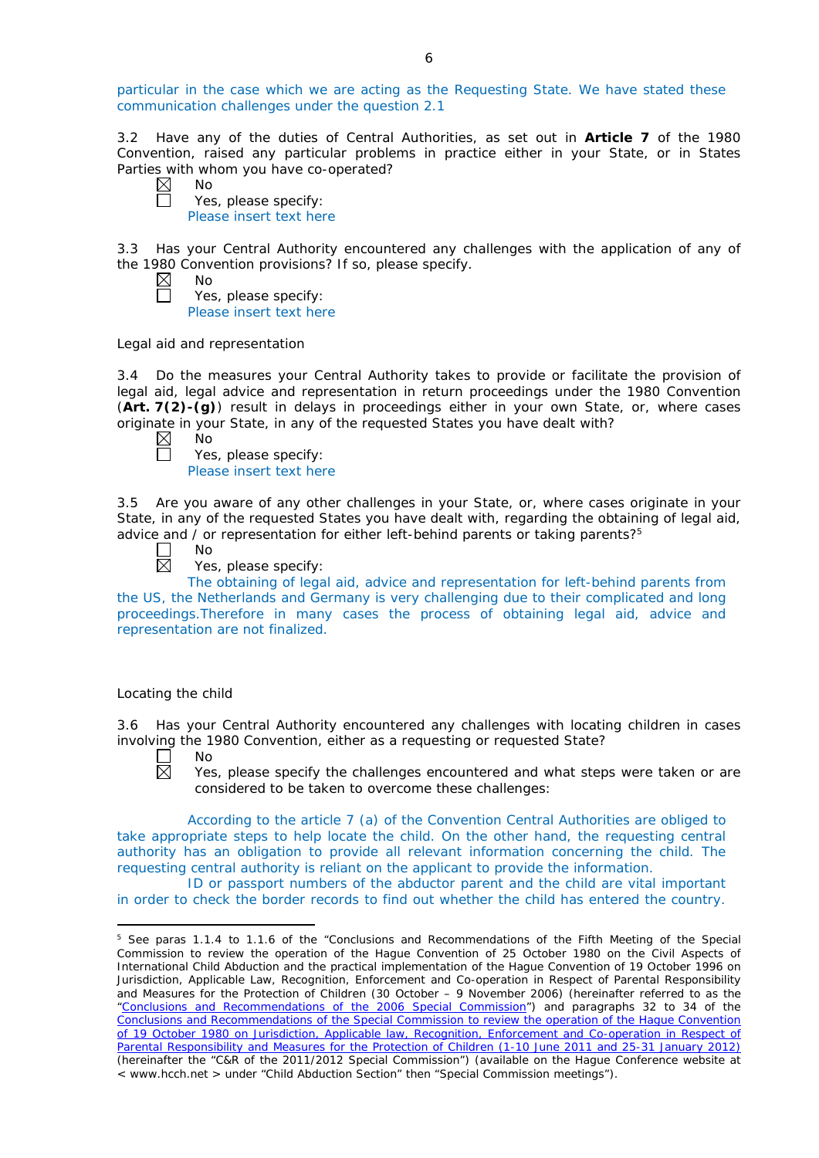particular in the case which we are acting as the Requesting State. We have stated these communication challenges under the question 2.1

3.2 Have any of the duties of Central Authorities, as set out in **Article 7** of the 1980 Convention, raised any particular problems in practice either in your State, or in States Parties with whom you have co-operated?

No Yes, please specify: Please insert text here

3.3 Has your Central Authority encountered any challenges with the application of any of the 1980 Convention provisions? If so, please specify.

| ۹Ì<br>റ |
|---------|
|         |

Yes, please specify: Please insert text here

*Legal aid and representation*

3.4 Do the measures your Central Authority takes to provide or facilitate the provision of legal aid, legal advice and representation in return proceedings under the 1980 Convention (**Art. 7(2)-(g)**) result in delays in proceedings either in your own State, or, where cases originate in your State, in any of the requested States you have dealt with?<br>  $\boxtimes$  No<br>
Yes, please specify:

No

Yes, please specify: Please insert text here

3.5 Are you aware of any other challenges in your State, or, where cases originate in your State, in any of the requested States you have dealt with, regarding the obtaining of legal aid, advice and  $\overline{\prime}$  or representation for either left-behind parents or taking parents?<sup>5</sup>

 $\Box$ 岗

No

Yes, please specify:

The obtaining of legal aid, advice and representation for left-behind parents from the US, the Netherlands and Germany is very challenging due to their complicated and long proceedings.Therefore in many cases the process of obtaining legal aid, advice and representation are not finalized.

# *Locating the child*

3.6 Has your Central Authority encountered any challenges with locating children in cases involving the 1980 Convention, either as a requesting or requested State?

П No  $\boxtimes$ 

<u>.</u>

Yes, please specify the challenges encountered and what steps were taken or are considered to be taken to overcome these challenges:

According to the article 7 (a) of the Convention Central Authorities are obliged to take appropriate steps to help locate the child. On the other hand, the requesting central authority has an obligation to provide all relevant information concerning the child. The requesting central authority is reliant on the applicant to provide the information.

ID or passport numbers of the abductor parent and the child are vital important in order to check the border records to find out whether the child has entered the country.

<sup>&</sup>lt;sup>5</sup> See paras 1.1.4 to 1.1.6 of the "Conclusions and Recommendations of the Fifth Meeting of the Special Commission to review the operation of the *Hague Convention of 25 October 1980 on the Civil Aspects of International Child Abduction* and the practical implementation of the *Hague Convention of 19 October 1996 on Jurisdiction, Applicable Law, Recognition, Enforcement and Co-operation in Respect of Parental Responsibility and Measures for the Protection of Children* (30 October – 9 November 2006) (hereinafter referred to as the ["Conclusions and Recommendations of the 2006 Special Commission"](https://assets.hcch.net/upload/concl28sc5_e.pdf)) and paragraphs 32 to 34 of the [Conclusions and Recommendations of the Special Commission](https://assets.hcch.net/upload/wop/concl28sc6_e.pdf) to review the operation of the Hague Convention of *[19 October 1980 on Jurisdiction, Applicable law, Recognition, Enforcement and Co-operation in Respect of](https://assets.hcch.net/upload/wop/concl28sc6_e.pdf)  [Parental Responsibility and Measures for the Protection of Children](https://assets.hcch.net/upload/wop/concl28sc6_e.pdf)* (1-10 June 2011 and 25-31 January 2012) (hereinafter the "C&R of the 2011/2012 Special Commission") (available on the Hague Conference website at < www.hcch.net > under "Child Abduction Section" then "Special Commission meetings").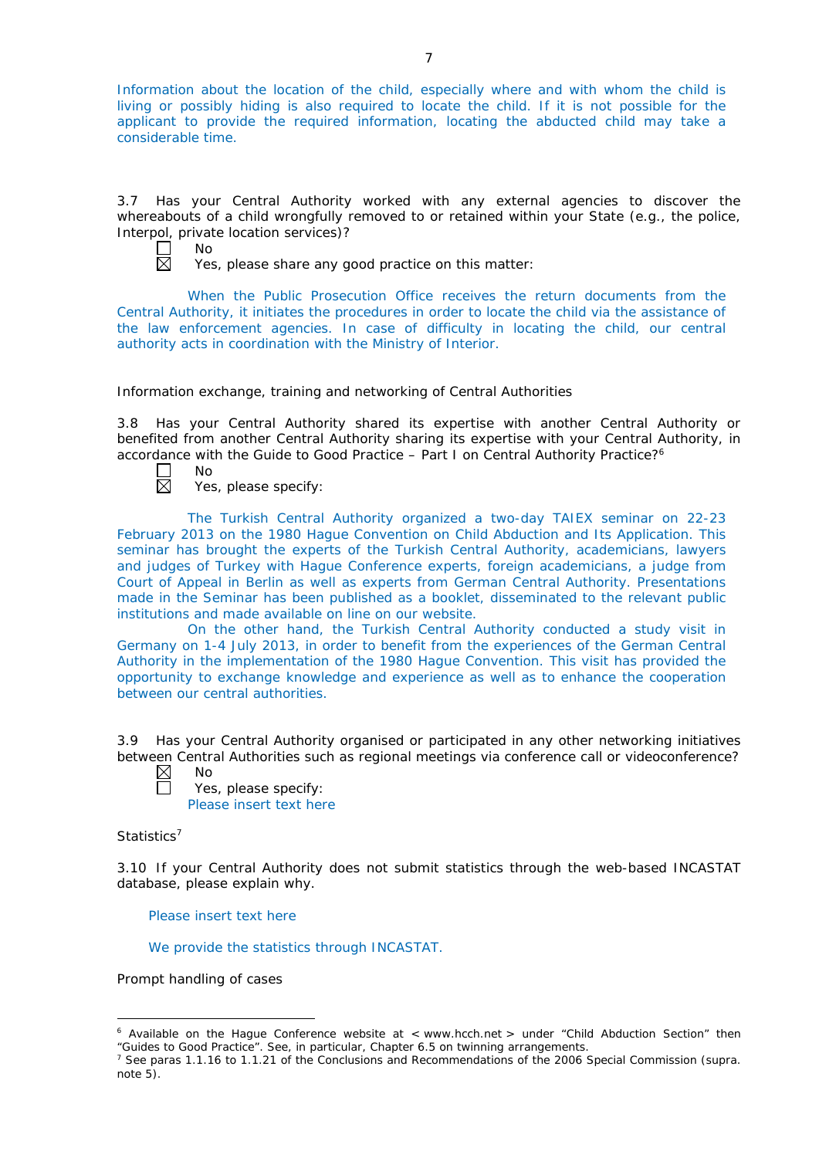Information about the location of the child, especially where and with whom the child is living or possibly hiding is also required to locate the child. If it is not possible for the applicant to provide the required information, locating the abducted child may take a considerable time.

3.7 Has your Central Authority worked with any external agencies to discover the whereabouts of a child wrongfully removed to or retained within your State (*e.g.*, the police, Interpol, private location services)?



Yes, please share any good practice on this matter:

When the Public Prosecution Office receives the return documents from the Central Authority, it initiates the procedures in order to locate the child via the assistance of the law enforcement agencies. In case of difficulty in locating the child, our central authority acts in coordination with the Ministry of Interior.

# *Information exchange, training and networking of Central Authorities*

3.8 Has your Central Authority shared its expertise with another Central Authority or benefited from another Central Authority sharing its expertise with your Central Authority, in accordance with the Guide to Good Practice  $-$  Part I on Central Authority Practice?<sup>6</sup>

No 岗

Yes, please specify:

The Turkish Central Authority organized a two-day TAIEX seminar on 22-23 February 2013 on the 1980 Hague Convention on Child Abduction and Its Application. This seminar has brought the experts of the Turkish Central Authority, academicians, lawyers and judges of Turkey with Hague Conference experts, foreign academicians, a judge from Court of Appeal in Berlin as well as experts from German Central Authority. Presentations made in the Seminar has been published as a booklet, disseminated to the relevant public institutions and made available on line on our website.

On the other hand, the Turkish Central Authority conducted a study visit in Germany on 1-4 July 2013, in order to benefit from the experiences of the German Central Authority in the implementation of the 1980 Hague Convention. This visit has provided the opportunity to exchange knowledge and experience as well as to enhance the cooperation between our central authorities.

3.9 Has your Central Authority organised or participated in any other networking initiatives between Central Authorities such as regional meetings via conference call or videoconference?

 $\boxtimes$ No П Yes, please specify: Please insert text here

# *Statistics*<sup>7</sup>

-

3.10 If your Central Authority does not submit statistics through the web-based INCASTAT database, please explain why.

Please insert text here

We provide the statistics through INCASTAT.

*Prompt handling of cases*

 $6$  Available on the Hague Conference website at  $\lt$  www.hcch.net  $>$  under "Child Abduction Section" then "Guides to Good Practice". See, in particular, Chapter 6.5 on twinning arrangements.

<sup>7</sup> See paras 1.1.16 to 1.1.21 of the Conclusions and Recommendations of the 2006 Special Commission (*supra.*  note  $5$ ).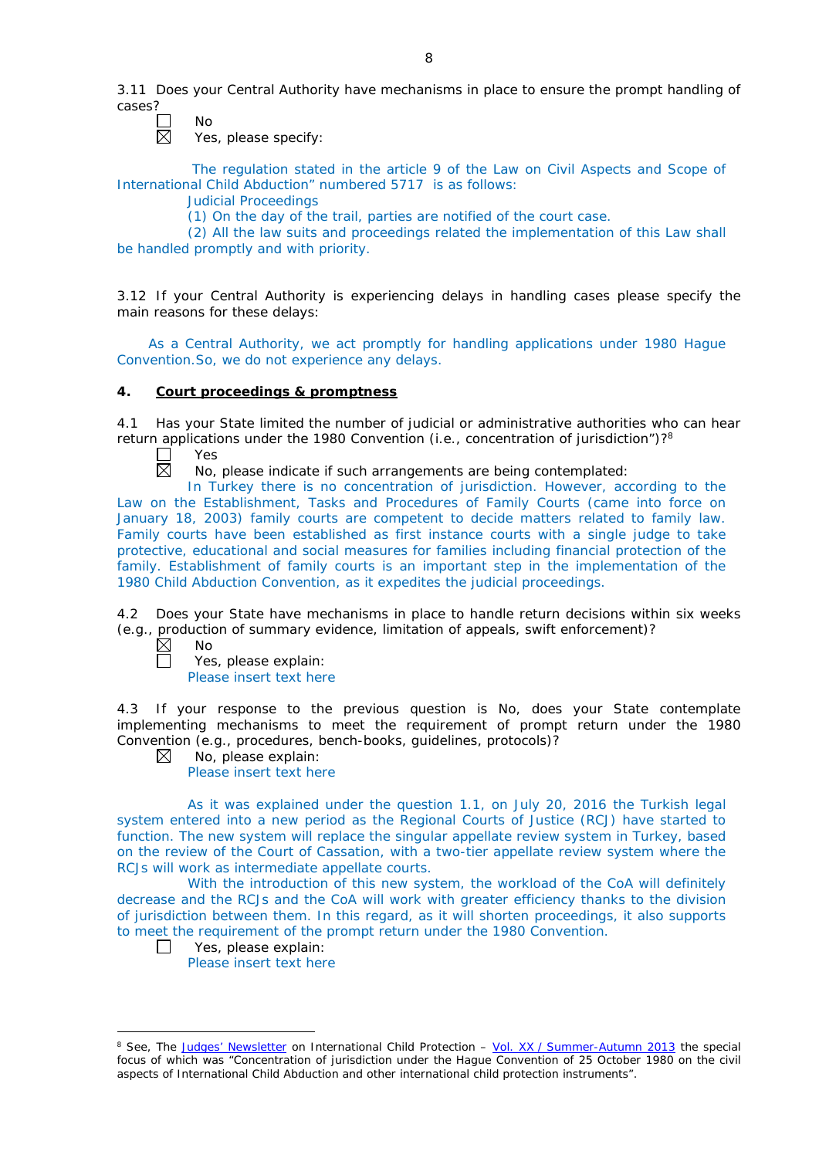3.11 Does your Central Authority have mechanisms in place to ensure the prompt handling of cases?

 $\mathcal{L}$ No  $\overline{\boxtimes}$ 

Yes, please specify:

The regulation stated in the article 9 of the Law on Civil Aspects and Scope of International Child Abduction" numbered 5717 is as follows:

Judicial Proceedings

(1) On the day of the trail, parties are notified of the court case.

(2) All the law suits and proceedings related the implementation of this Law shall be handled promptly and with priority.

3.12 If your Central Authority is experiencing delays in handling cases please specify the main reasons for these delays:

As a Central Authority, we act promptly for handling applications under 1980 Hague Convention.So, we do not experience any delays.

# **4. Court proceedings & promptness**

4.1 Has your State limited the number of judicial or administrative authorities who can hear return applications under the 1980 Convention (*i.e.*, concentration of jurisdiction")?8

Yes 岗

No, please indicate if such arrangements are being contemplated:

In Turkey there is no concentration of jurisdiction. However, according to the Law on the Establishment, Tasks and Procedures of Family Courts (came into force on January 18, 2003) family courts are competent to decide matters related to family law. Family courts have been established as first instance courts with a single judge to take protective, educational and social measures for families including financial protection of the family. Establishment of family courts is an important step in the implementation of the 1980 Child Abduction Convention, as it expedites the judicial proceedings.

4.2 Does your State have mechanisms in place to handle return decisions within six weeks (*e.g.*, production of summary evidence, limitation of appeals, swift enforcement)?

 $\boxtimes$ No

-

Yes, please explain: Please insert text here

4.3 If your response to the previous question is No, does your State contemplate implementing mechanisms to meet the requirement of prompt return under the 1980 Convention (*e.g.*, procedures, bench-books, guidelines, protocols)?

 $\boxtimes$ No, please explain: Please insert text here

As it was explained under the question 1.1, on July 20, 2016 the Turkish legal system entered into a new period as the Regional Courts of Justice (RCJ) have started to function. The new system will replace the singular appellate review system in Turkey, based on the review of the Court of Cassation, with a two-tier appellate review system where the RCJs will work as intermediate appellate courts.

With the introduction of this new system, the workload of the CoA will definitely decrease and the RCJs and the CoA will work with greater efficiency thanks to the division of jurisdiction between them. In this regard, as it will shorten proceedings, it also supports to meet the requirement of the prompt return under the 1980 Convention.

П Yes, please explain:

Please insert text here

<sup>8</sup> See, *The [Judges' Newsletter](https://www.hcch.net/en/instruments/conventions/publications2/judges-newsletter)* on International Child Protection – Vol. XX / [Summer-Autumn 2013](https://assets.hcch.net/upload/newsletter/nl2013tome20en.pdf) the special focus of which was "Concentration of jurisdiction under the *Hague Convention of 25 October 1980 on the civil aspects of International Child Abduction* and other international child protection instruments".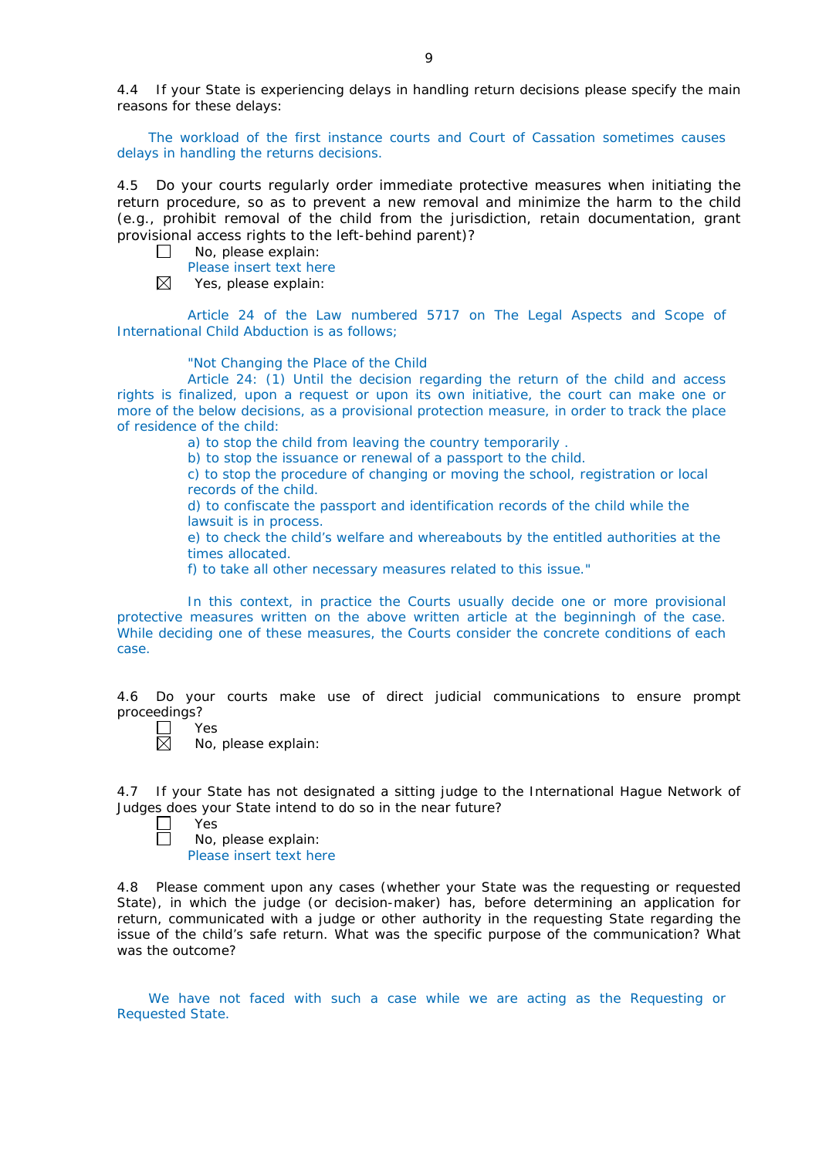4.4 If your State is experiencing delays in handling return decisions please specify the main reasons for these delays:

The workload of the first instance courts and Court of Cassation sometimes causes delays in handling the returns decisions.

4.5 Do your courts regularly order immediate protective measures when initiating the return procedure, so as to prevent a new removal and minimize the harm to the child (*e.g.*, prohibit removal of the child from the jurisdiction, retain documentation, grant provisional access rights to the left-behind parent)?

No, please explain:  $\Box$ 

Please insert text here

 $\boxtimes$ Yes, please explain:

Article 24 of the Law numbered 5717 on The Legal Aspects and Scope of International Child Abduction is as follows;

"Not Changing the Place of the Child

Article 24: (1) Until the decision regarding the return of the child and access rights is finalized, upon a request or upon its own initiative, the court can make one or more of the below decisions, as a provisional protection measure, in order to track the place of residence of the child:

a) to stop the child from leaving the country temporarily .

b) to stop the issuance or renewal of a passport to the child.

c) to stop the procedure of changing or moving the school, registration or local records of the child.

d) to confiscate the passport and identification records of the child while the lawsuit is in process.

e) to check the child's welfare and whereabouts by the entitled authorities at the times allocated.

f) to take all other necessary measures related to this issue."

In this context, in practice the Courts usually decide one or more provisional protective measures written on the above written article at the beginningh of the case. While deciding one of these measures, the Courts consider the concrete conditions of each case.

4.6 Do your courts make use of direct judicial communications to ensure prompt proceedings?

 $\Box$ Yes

 $\boxtimes$ No, please explain:

4.7 If your State has not designated a sitting judge to the International Hague Network of Judges does your State intend to do so in the near future?

Yes  $\Box$ 

No, please explain:

Please insert text here

4.8 Please comment upon any cases (whether your State was the requesting or requested State), in which the judge (or decision-maker) has, before determining an application for return, communicated with a judge or other authority in the requesting State regarding the issue of the child's safe return. What was the specific purpose of the communication? What was the outcome?

We have not faced with such a case while we are acting as the Requesting or Requested State.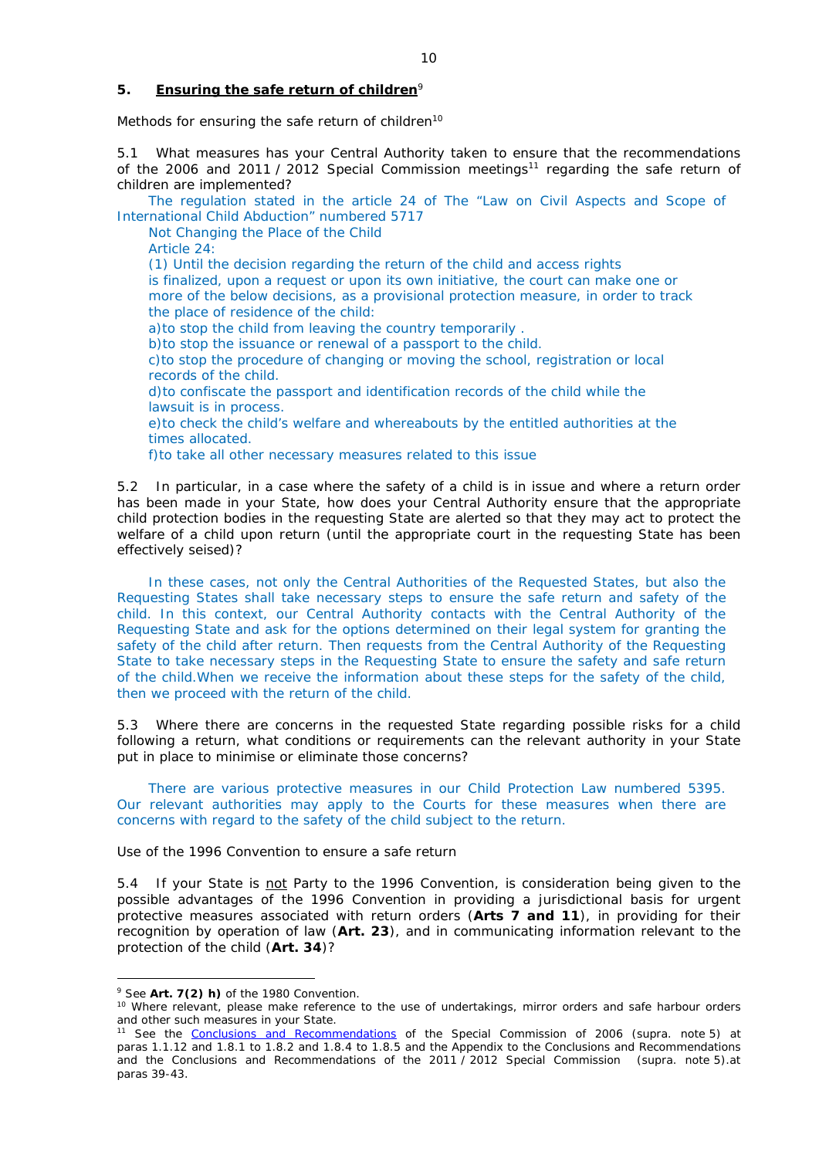### **5. Ensuring the safe return of children**<sup>9</sup>

*Methods for ensuring the safe return of children*<sup>10</sup>

5.1 What measures has your Central Authority taken to ensure that the recommendations of the 2006 and 2011 / 2012 Special Commission meetings<sup>11</sup> regarding the safe return of children are implemented?

The regulation stated in the article 24 of The "Law on Civil Aspects and Scope of International Child Abduction" numbered 5717

Not Changing the Place of the Child

Article 24:

(1) Until the decision regarding the return of the child and access rights

is finalized, upon a request or upon its own initiative, the court can make one or more of the below decisions, as a provisional protection measure, in order to track the place of residence of the child:

a)to stop the child from leaving the country temporarily .

b)to stop the issuance or renewal of a passport to the child.

c)to stop the procedure of changing or moving the school, registration or local records of the child.

d)to confiscate the passport and identification records of the child while the lawsuit is in process.

e)to check the child's welfare and whereabouts by the entitled authorities at the times allocated.

f)to take all other necessary measures related to this issue

5.2 In particular, in a case where the safety of a child is in issue and where a return order has been made in your State, how does your Central Authority ensure that the appropriate child protection bodies in the *requesting* State are alerted so that they may act to protect the welfare of a child upon return (until the appropriate court in the requesting State has been effectively seised)?

In these cases, not only the Central Authorities of the Requested States, but also the Requesting States shall take necessary steps to ensure the safe return and safety of the child. In this context, our Central Authority contacts with the Central Authority of the Requesting State and ask for the options determined on their legal system for granting the safety of the child after return. Then requests from the Central Authority of the Requesting State to take necessary steps in the Requesting State to ensure the safety and safe return of the child.When we receive the information about these steps for the safety of the child, then we proceed with the return of the child.

5.3 Where there are concerns in the requested State regarding possible risks for a child following a return, what conditions or requirements can the relevant authority in your State put in place to minimise or eliminate those concerns?

There are various protective measures in our Child Protection Law numbered 5395. Our relevant authorities may apply to the Courts for these measures when there are concerns with regard to the safety of the child subject to the return.

*Use of the 1996 Convention to ensure a safe return*

5.4 If your State is not Party to the 1996 Convention, is consideration being given to the possible advantages of the 1996 Convention in providing a jurisdictional basis for urgent protective measures associated with return orders (**Arts 7 and 11**), in providing for their recognition by operation of law (**Art. 23**), and in communicating information relevant to the protection of the child (**Art. 34**)?

<u>.</u>

<sup>9</sup> See **Art. 7(2)** *h)* of the 1980 Convention.

<sup>&</sup>lt;sup>10</sup> Where relevant, please make reference to the use of undertakings, mirror orders and safe harbour orders and other such measures in your State.

<sup>11</sup> See the [Conclusions and Recommendations](https://assets.hcch.net/upload/concl28sc5_e.pdf) of the Special Commission of 2006 (*supra.* note 5) at paras 1.1.12 and 1.8.1 to 1.8.2 and 1.8.4 to 1.8.5 and the Appendix to the Conclusions and Recommendations and the [Conclusions and Recommendations of the 2011](https://assets.hcch.net/upload/wop/concl28sc6_e.pdf) / 2012 Special Commission (*supra.* note 5).at paras 39-43.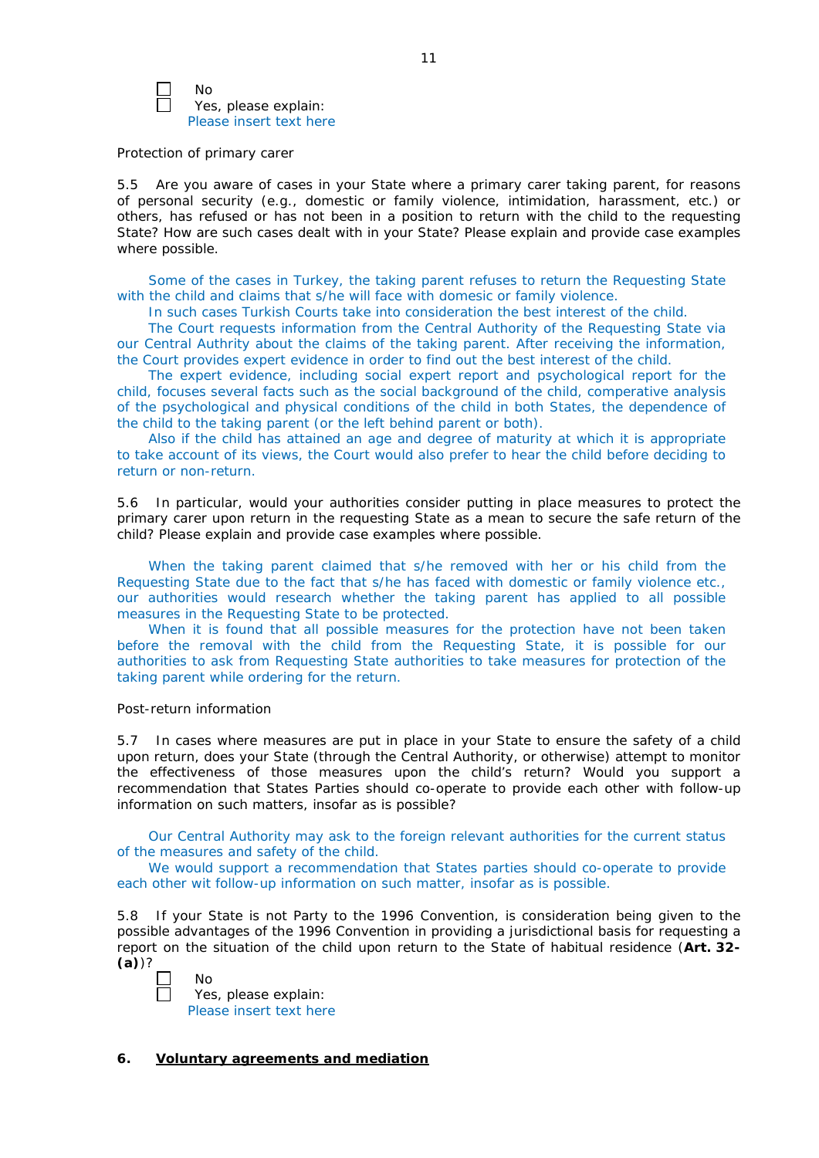

No Yes, please explain: Please insert text here

#### *Protection of primary carer*

5.5 Are you aware of cases in your State where a primary carer taking parent, for reasons of personal security (*e.g.*, domestic or family violence, intimidation, harassment, etc.) or others, has refused or has not been in a position to return with the child to the requesting State? How are such cases dealt with in your State? Please explain and provide case examples where possible.

Some of the cases in Turkey, the taking parent refuses to return the Requesting State with the child and claims that s/he will face with domesic or family violence.

In such cases Turkish Courts take into consideration the best interest of the child.

The Court requests information from the Central Authority of the Requesting State via our Central Authrity about the claims of the taking parent. After receiving the information, the Court provides expert evidence in order to find out the best interest of the child.

The expert evidence, including social expert report and psychological report for the child, focuses several facts such as the social background of the child, comperative analysis of the psychological and physical conditions of the child in both States, the dependence of the child to the taking parent (or the left behind parent or both).

Also if the child has attained an age and degree of maturity at which it is appropriate to take account of its views, the Court would also prefer to hear the child before deciding to return or non-return.

5.6 In particular, would your authorities consider putting in place measures to protect the primary carer upon return in the requesting State as a mean to secure the safe return of the child? Please explain and provide case examples where possible.

When the taking parent claimed that s/he removed with her or his child from the Requesting State due to the fact that s/he has faced with domestic or family violence etc., our authorities would research whether the taking parent has applied to all possible measures in the Requesting State to be protected.

When it is found that all possible measures for the protection have not been taken before the removal with the child from the Requesting State, it is possible for our authorities to ask from Requesting State authorities to take measures for protection of the taking parent while ordering for the return.

#### *Post-return information*

5.7 In cases where measures are put in place in your State to ensure the safety of a child upon return, does your State (through the Central Authority, or otherwise) attempt to monitor the effectiveness of those measures upon the child's return? Would you support a recommendation that States Parties should co-operate to provide each other with follow-up information on such matters, insofar as is possible?

Our Central Authority may ask to the foreign relevant authorities for the current status of the measures and safety of the child.

We would support a recommendation that States parties should co-operate to provide each other wit follow-up information on such matter, insofar as is possible.

5.8 If your State is not Party to the 1996 Convention, is consideration being given to the possible advantages of the 1996 Convention in providing a jurisdictional basis for requesting a report on the situation of the child upon return to the State of habitual residence (**Art. 32- (a)**)?



Yes, please explain: Please insert text here

# **6. Voluntary agreements and mediation**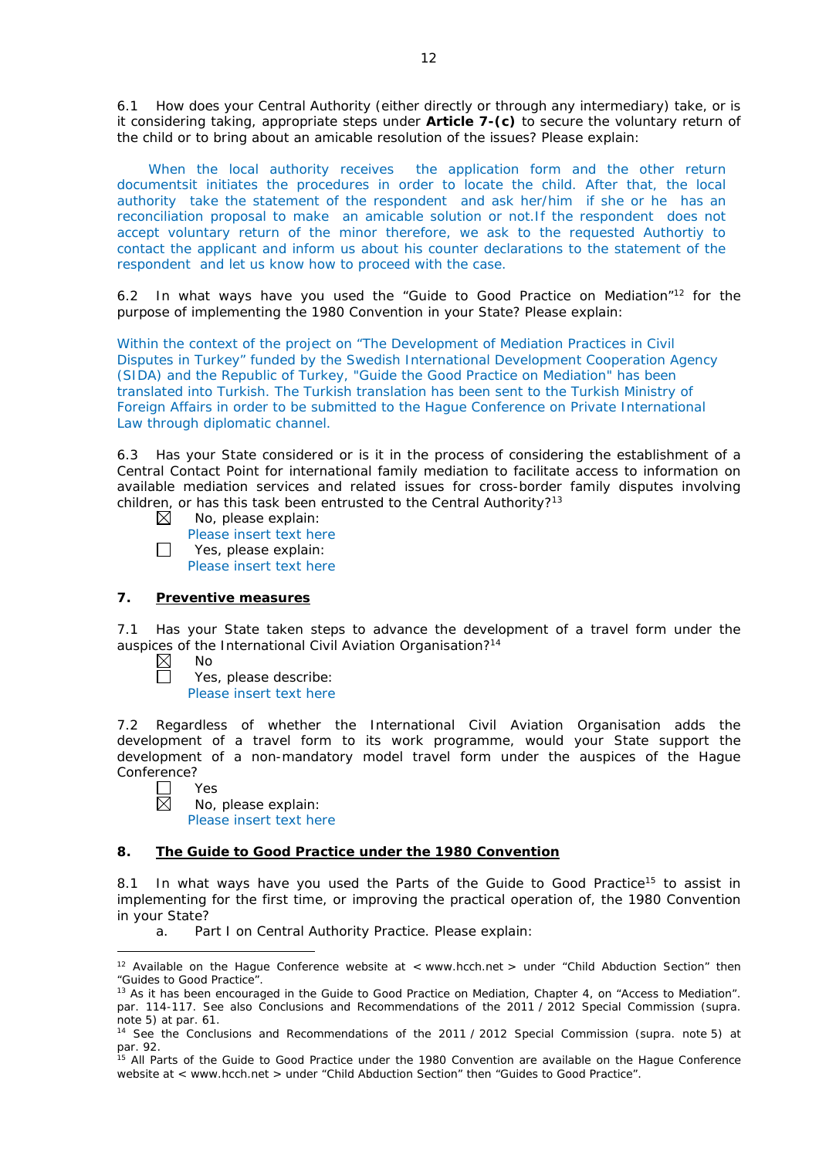6.1 How does your Central Authority (either directly or through any intermediary) take, or is it considering taking, appropriate steps under **Article 7-(c)** to secure the voluntary return of the child or to bring about an amicable resolution of the issues? Please explain:

When the local authority receives the application form and the other return documentsit initiates the procedures in order to locate the child. After that, the local authority take the statement of the respondent and ask her/him if she or he has an reconciliation proposal to make an amicable solution or not.If the respondent does not accept voluntary return of the minor therefore, we ask to the requested Authortiy to contact the applicant and inform us about his counter declarations to the statement of the respondent and let us know how to proceed with the case.

6.2 In what ways have you used the "Guide to Good Practice on Mediation"12 for the purpose of implementing the 1980 Convention in your State? Please explain:

Within the context of the project on "The Development of Mediation Practices in Civil Disputes in Turkey" funded by the Swedish International Development Cooperation Agency (SIDA) and the Republic of Turkey, "Guide the Good Practice on Mediation" has been translated into Turkish. The Turkish translation has been sent to the Turkish Ministry of Foreign Affairs in order to be submitted to the Hague Conference on Private International Law through diplomatic channel.

6.3 Has your State considered or is it in the process of considering the establishment of a Central Contact Point for international family mediation to facilitate access to information on available mediation services and related issues for cross-border family disputes involving children, or has this task been entrusted to the Central Authority?<sup>13</sup>

- $\boxtimes$ No, please explain:
- Please insert text here  $\Box$ Yes, please explain: Please insert text here

# **7. Preventive measures**

7.1 Has your State taken steps to advance the development of a travel form under the auspices of the International Civil Aviation Organisation?14

- $\boxtimes$ No П
	- Yes, please describe:

Please insert text here

7.2 Regardless of whether the International Civil Aviation Organisation adds the development of a travel form to its work programme, would your State support the development of a non-mandatory model travel form under the auspices of the Hague Conference?

 $\Box$ Yes  $\overline{\boxtimes}$ 

<u>.</u>

No, please explain: Please insert text here

# **8. The Guide to Good Practice under the 1980 Convention**

8.1 In what ways have you used the Parts of the Guide to Good Practice<sup>15</sup> to assist in implementing for the first time, or improving the practical operation of, the 1980 Convention in your State?

a. Part I on Central Authority Practice. Please explain:

<sup>&</sup>lt;sup>12</sup> Available on the Hague Conference website at < www.hcch.net > under "Child Abduction Section" then "Guides to Good Practice".

<sup>&</sup>lt;sup>13</sup> As it has been encouraged in the Guide to Good Practice on Mediation, Chapter 4, on "Access to Mediation". par. 114-117. See also [Conclusions and Recommendations of the 2011](https://assets.hcch.net/upload/wop/concl28sc6_e.pdf) / 2012 Special Commission (*supra.* .<br>note 5) at par. 61.

<sup>14</sup> See the [Conclusions and Recommendations of the 2011](https://assets.hcch.net/upload/wop/concl28sc6_e.pdf) / 2012 Special Commission (*supra.* note 5) at par. 92.

<sup>&</sup>lt;sup>15</sup> All Parts of the Guide to Good Practice under the 1980 Convention are available on the Hague Conference website at < www.hcch.net > under "Child Abduction Section" then "Guides to Good Practice".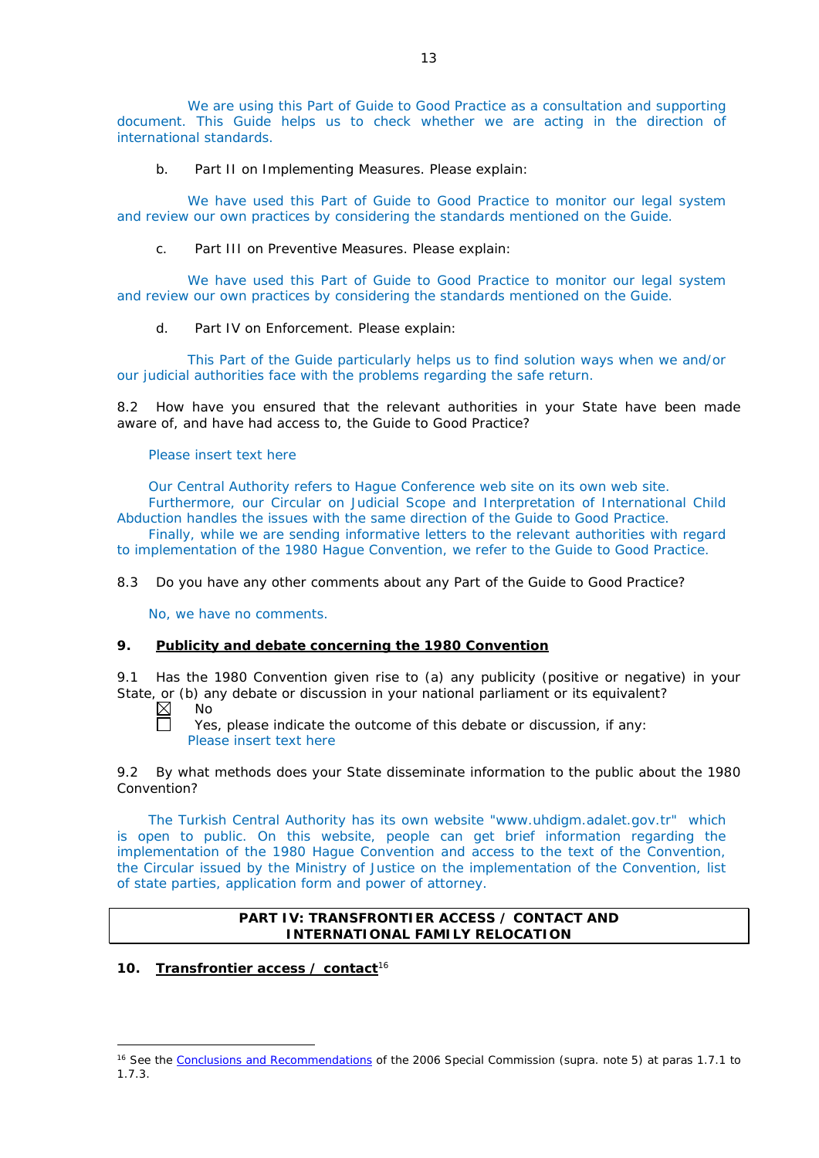We are using this Part of Guide to Good Practice as a consultation and supporting document. This Guide helps us to check whether we are acting in the direction of international standards.

b. Part II on Implementing Measures. Please explain:

We have used this Part of Guide to Good Practice to monitor our legal system and review our own practices by considering the standards mentioned on the Guide.

c. Part III on Preventive Measures. Please explain:

We have used this Part of Guide to Good Practice to monitor our legal system and review our own practices by considering the standards mentioned on the Guide.

d. Part IV on Enforcement. Please explain:

This Part of the Guide particularly helps us to find solution ways when we and/or our judicial authorities face with the problems regarding the safe return.

8.2 How have you ensured that the relevant authorities in your State have been made aware of, and have had access to, the Guide to Good Practice?

Please insert text here

Our Central Authority refers to Hague Conference web site on its own web site. Furthermore, our Circular on Judicial Scope and Interpretation of International Child Abduction handles the issues with the same direction of the Guide to Good Practice.

Finally, while we are sending informative letters to the relevant authorities with regard to implementation of the 1980 Hague Convention, we refer to the Guide to Good Practice.

8.3 Do you have any other comments about any Part of the Guide to Good Practice?

No, we have no comments.

# **9. Publicity and debate concerning the 1980 Convention**

9.1 Has the 1980 Convention given rise to (a) any publicity (positive or negative) in your State, or (b) any debate or discussion in your national parliament or its equivalent?

 $\boxtimes$ No Ħ

Yes, please indicate the outcome of this debate or discussion, if any: Please insert text here

9.2 By what methods does your State disseminate information to the public about the 1980 Convention?

The Turkish Central Authority has its own website "www.uhdigm.adalet.gov.tr" which is open to public. On this website, people can get brief information regarding the implementation of the 1980 Hague Convention and access to the text of the Convention, the Circular issued by the Ministry of Justice on the implementation of the Convention, list of state parties, application form and power of attorney.

# **PART IV: TRANSFRONTIER ACCESS / CONTACT AND INTERNATIONAL FAMILY RELOCATION**

# **10. Transfrontier access / contact**<sup>16</sup>

<sup>-</sup><sup>16</sup> See the [Conclusions and Recommendations](https://assets.hcch.net/upload/concl28sc5_e.pdf) of the 2006 Special Commission (supra. note 5) at paras 1.7.1 to 1.7.3.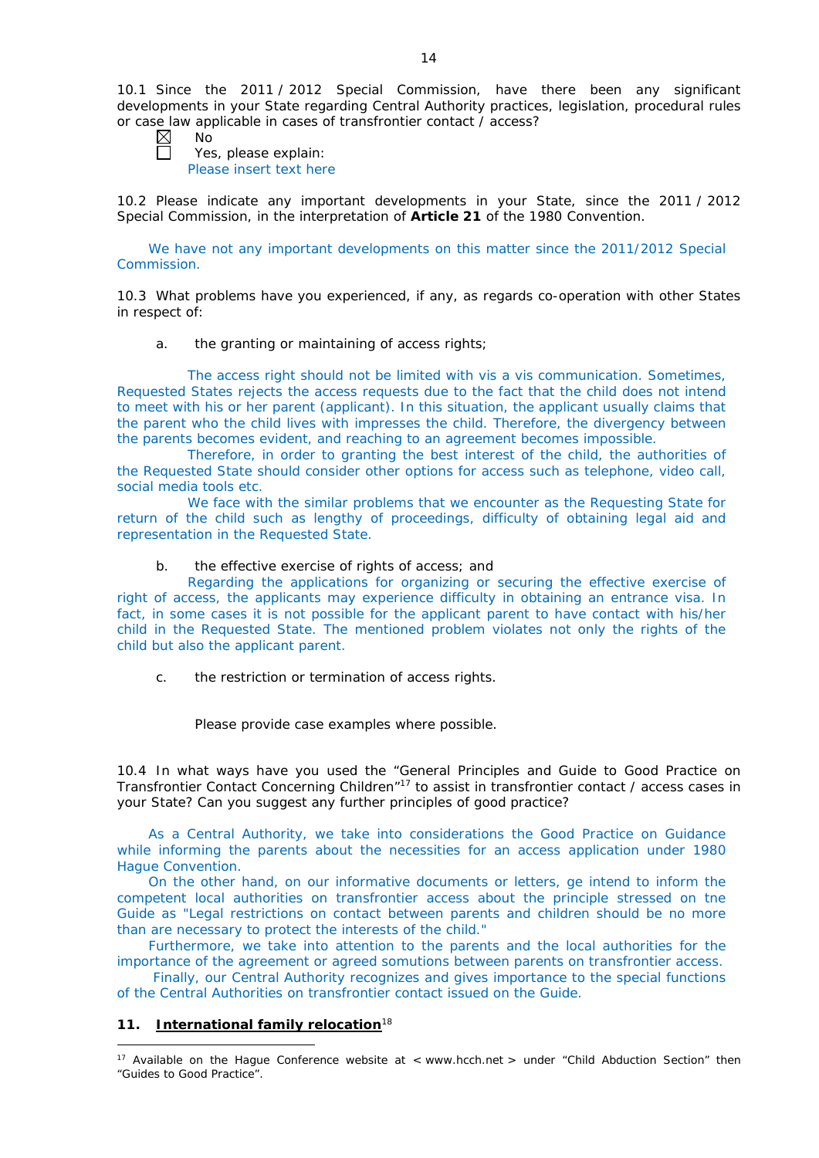10.1 Since the 2011 / 2012 Special Commission, have there been any significant developments in your State regarding Central Authority practices, legislation, procedural rules or case law applicable in cases of transfrontier contact / access?

No Yes, please explain: Please insert text here

10.2 Please indicate any important developments in your State, since the 2011 / 2012 Special Commission, in the interpretation of **Article 21** of the 1980 Convention.

We have not any important developments on this matter since the 2011/2012 Special Commission.

10.3 What problems have you experienced, if any, as regards co-operation with other States in respect of:

a. the granting or maintaining of access rights;

The access right should not be limited with vis a vis communication. Sometimes, Requested States rejects the access requests due to the fact that the child does not intend to meet with his or her parent (applicant). In this situation, the applicant usually claims that the parent who the child lives with impresses the child. Therefore, the divergency between the parents becomes evident, and reaching to an agreement becomes impossible.

Therefore, in order to granting the best interest of the child, the authorities of the Requested State should consider other options for access such as telephone, video call, social media tools etc.

We face with the similar problems that we encounter as the Requesting State for return of the child such as lengthy of proceedings, difficulty of obtaining legal aid and representation in the Requested State.

### b. the effective exercise of rights of access; and

Regarding the applications for organizing or securing the effective exercise of right of access, the applicants may experience difficulty in obtaining an entrance visa. In fact, in some cases it is not possible for the applicant parent to have contact with his/her child in the Requested State. The mentioned problem violates not only the rights of the child but also the applicant parent.

c. the restriction or termination of access rights.

Please provide case examples where possible.

10.4 In what ways have you used the "General Principles and Guide to Good Practice on Transfrontier Contact Concerning Children"17 to assist in transfrontier contact / access cases in your State? Can you suggest any further principles of good practice?

As a Central Authority, we take into considerations the Good Practice on Guidance while informing the parents about the necessities for an access application under 1980 Hague Convention.

On the other hand, on our informative documents or letters, ge intend to inform the competent local authorities on transfrontier access about the principle stressed on tne Guide as "Legal restrictions on contact between parents and children should be no more than are necessary to protect the interests of the child."

Furthermore, we take into attention to the parents and the local authorities for the importance of the agreement or agreed somutions between parents on transfrontier access.

Finally, our Central Authority recognizes and gives importance to the special functions of the Central Authorities on transfrontier contact issued on the Guide.

# **11. International family relocation**<sup>18</sup>

<sup>-</sup><sup>17</sup> Available on the Hague Conference website at < www.hcch.net > under "Child Abduction Section" then "Guides to Good Practice".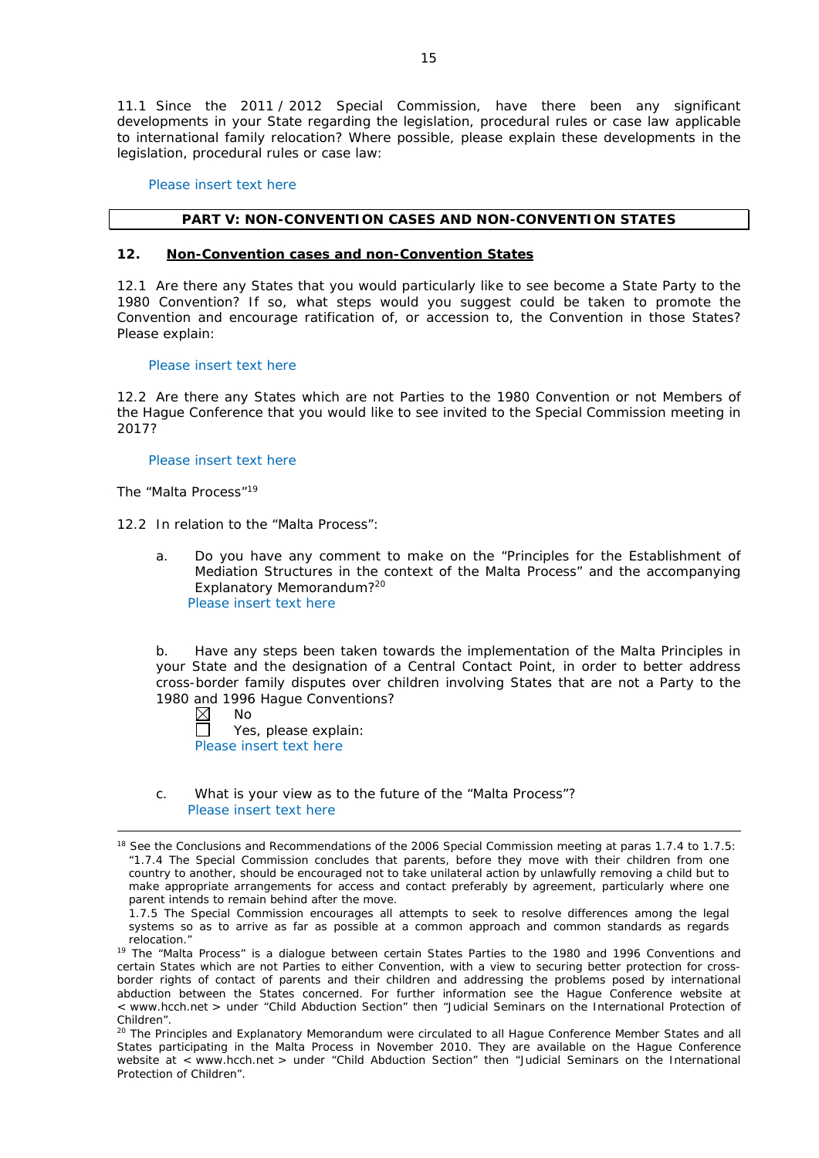11.1 Since the 2011 / 2012 Special Commission, have there been any significant developments in your State regarding the legislation, procedural rules or case law applicable to international family relocation? Where possible, please explain these developments in the legislation, procedural rules or case law:

Please insert text here

### **PART V: NON-CONVENTION CASES AND NON-CONVENTION STATES**

### **12. Non-Convention cases and non-Convention States**

12.1 Are there any States that you would particularly like to see become a State Party to the 1980 Convention? If so, what steps would you suggest could be taken to promote the Convention and encourage ratification of, or accession to, the Convention in those States? Please explain:

#### Please insert text here

12.2 Are there any States which are not Parties to the 1980 Convention or not Members of the Hague Conference that you would like to see invited to the Special Commission meeting in 2017?

Please insert text here

*The "Malta Process"*<sup>19</sup>

12.2 In relation to the "Malta Process":

a. Do you have any comment to make on the "Principles for the Establishment of Mediation Structures in the context of the Malta Process" and the accompanying Explanatory Memorandum?20 Please insert text here

b. Have any steps been taken towards the implementation of the Malta Principles in your State and the designation of a Central Contact Point, in order to better address cross-border family disputes over children involving States that are not a Party to the 1980 and 1996 Hague Conventions?<br>
M No

No

-

 $\Box$ Yes, please explain: Please insert text here

c. What is your view as to the future of the "Malta Process"? Please insert text here

<sup>&</sup>lt;sup>18</sup> See the Conclusions and Recommendations of the 2006 Special Commission meeting at paras 1.7.4 to 1.7.5: *"*1.7.4 The Special Commission concludes that parents, before they move with their children from one country to another, should be encouraged not to take unilateral action by unlawfully removing a child but to make appropriate arrangements for access and contact preferably by agreement, particularly where one parent intends to remain behind after the move.

<sup>1.7.5</sup> The Special Commission encourages all attempts to seek to resolve differences among the legal systems so as to arrive as far as possible at a common approach and common standards as regards relocation."

<sup>&</sup>lt;sup>19</sup> The "Malta Process" is a dialogue between certain States Parties to the 1980 and 1996 Conventions and certain States which are not Parties to either Convention, with a view to securing better protection for crossborder rights of contact of parents and their children and addressing the problems posed by international abduction between the States concerned. For further information see the Hague Conference website at < www.hcch.net > under "Child Abduction Section" then "Judicial Seminars on the International Protection of Children".

<sup>20</sup> The Principles and Explanatory Memorandum were circulated to all Hague Conference Member States and all States participating in the Malta Process in November 2010. They are available on the Hague Conference website at < www.hcch.net > under "Child Abduction Section" then "Judicial Seminars on the International Protection of Children".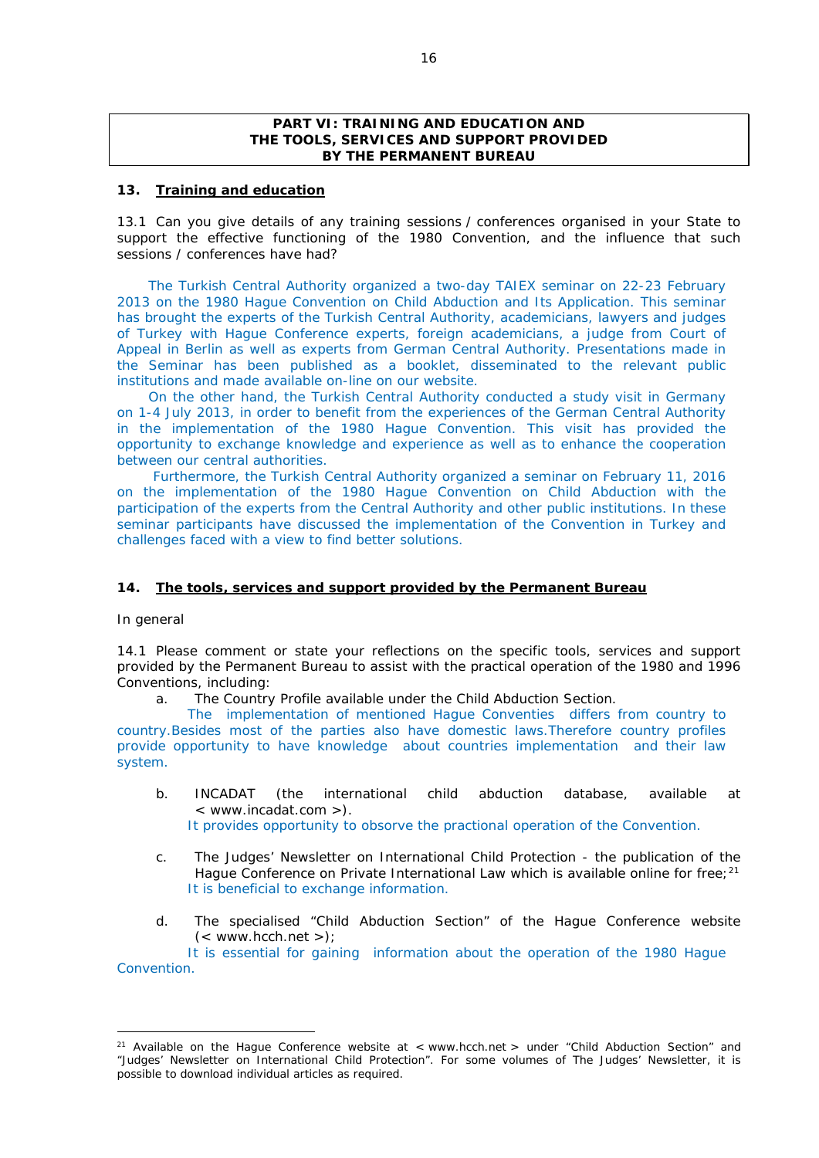### **PART VI: TRAINING AND EDUCATION AND THE TOOLS, SERVICES AND SUPPORT PROVIDED BY THE PERMANENT BUREAU**

#### **13. Training and education**

13.1 Can you give details of any training sessions / conferences organised in your State to support the effective functioning of the 1980 Convention, and the influence that such sessions / conferences have had?

The Turkish Central Authority organized a two-day TAIEX seminar on 22-23 February 2013 on the 1980 Hague Convention on Child Abduction and Its Application. This seminar has brought the experts of the Turkish Central Authority, academicians, lawyers and judges of Turkey with Hague Conference experts, foreign academicians, a judge from Court of Appeal in Berlin as well as experts from German Central Authority. Presentations made in the Seminar has been published as a booklet, disseminated to the relevant public institutions and made available on-line on our website.

On the other hand, the Turkish Central Authority conducted a study visit in Germany on 1-4 July 2013, in order to benefit from the experiences of the German Central Authority in the implementation of the 1980 Hague Convention. This visit has provided the opportunity to exchange knowledge and experience as well as to enhance the cooperation between our central authorities.

Furthermore, the Turkish Central Authority organized a seminar on February 11, 2016 on the implementation of the 1980 Hague Convention on Child Abduction with the participation of the experts from the Central Authority and other public institutions. In these seminar participants have discussed the implementation of the Convention in Turkey and challenges faced with a view to find better solutions.

# **14. The tools, services and support provided by the Permanent Bureau**

#### *In general*

-

14.1 Please comment or state your reflections on the specific tools, services and support provided by the Permanent Bureau to assist with the practical operation of the 1980 and 1996 Conventions, including:

a. The Country Profile available under the Child Abduction Section.

The implementation of mentioned Hague Conventies differs from country to country.Besides most of the parties also have domestic laws.Therefore country profiles provide opportunity to have knowledge about countries implementation and their law system.

- b. INCADAT (the international child abduction database, available at < www.incadat.com >). It provides opportunity to obsorve the practional operation of the Convention.
- c. *The Judges' Newsletter* on International Child Protection the publication of the Hague Conference on Private International Law which is available online for free; $21$ It is beneficial to exchange information.
- d. The specialised "Child Abduction Section" of the Hague Conference website  $(<$  www.hcch.net >);

It is essential for gaining information about the operation of the 1980 Hague Convention.

<sup>&</sup>lt;sup>21</sup> Available on the Hague Conference website at < www.hcch.net > under "Child Abduction Section" and "Judges' Newsletter on International Child Protection". For some volumes of *The Judges' Newsletter*, it is possible to download individual articles as required.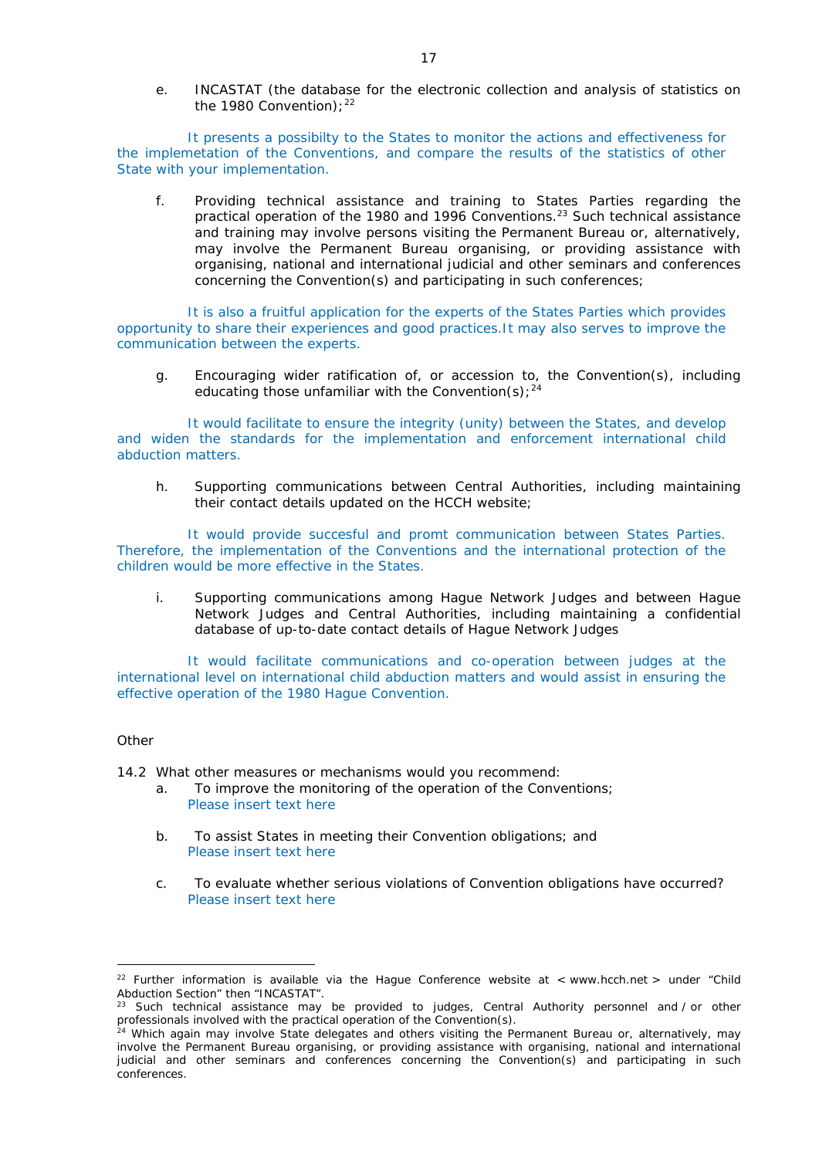e. INCASTAT (the database for the electronic collection and analysis of statistics on the 1980 Convention);  $22$ 

It presents a possibilty to the States to monitor the actions and effectiveness for the implemetation of the Conventions, and compare the results of the statistics of other State with your implementation.

f. Providing technical assistance and training to States Parties regarding the practical operation of the 1980 and 1996 Conventions.<sup>23</sup> Such technical assistance and training may involve persons visiting the Permanent Bureau or, alternatively, may involve the Permanent Bureau organising, or providing assistance with organising, national and international judicial and other seminars and conferences concerning the Convention(s) and participating in such conferences;

It is also a fruitful application for the experts of the States Parties which provides opportunity to share their experiences and good practices.It may also serves to improve the communication between the experts.

g. Encouraging wider ratification of, or accession to, the Convention(s), including educating those unfamiliar with the Convention(s);  $24$ 

It would facilitate to ensure the integrity (unity) between the States, and develop and widen the standards for the implementation and enforcement international child abduction matters.

h. Supporting communications between Central Authorities, including maintaining their contact details updated on the HCCH website;

It would provide succesful and promt communication between States Parties. Therefore, the implementation of the Conventions and the international protection of the children would be more effective in the States.

i. Supporting communications among Hague Network Judges and between Hague Network Judges and Central Authorities, including maintaining a confidential database of up-to-date contact details of Hague Network Judges

It would facilitate communications and co-operation between judges at the international level on international child abduction matters and would assist in ensuring the effective operation of the 1980 Hague Convention.

# *Other*

14.2 What other measures or mechanisms would you recommend:

- a. To improve the monitoring of the operation of the Conventions; Please insert text here
- b. To assist States in meeting their Convention obligations; and Please insert text here
- c. To evaluate whether serious violations of Convention obligations have occurred? Please insert text here

<sup>&</sup>lt;u>.</u> <sup>22</sup> Further information is available via the Hague Conference website at < www.hcch.net > under "Child Abduction Section" then "INCASTAT".

Such technical assistance may be provided to judges, Central Authority personnel and / or other professionals involved with the practical operation of the Convention(s).<br>
<sup>24</sup> Which again was a convention of the Convention(s).

<sup>&</sup>lt;sup>4</sup> Which again may involve State delegates and others visiting the Permanent Bureau or, alternatively, may involve the Permanent Bureau organising, or providing assistance with organising, national and international judicial and other seminars and conferences concerning the Convention(s) and participating in such conferences.